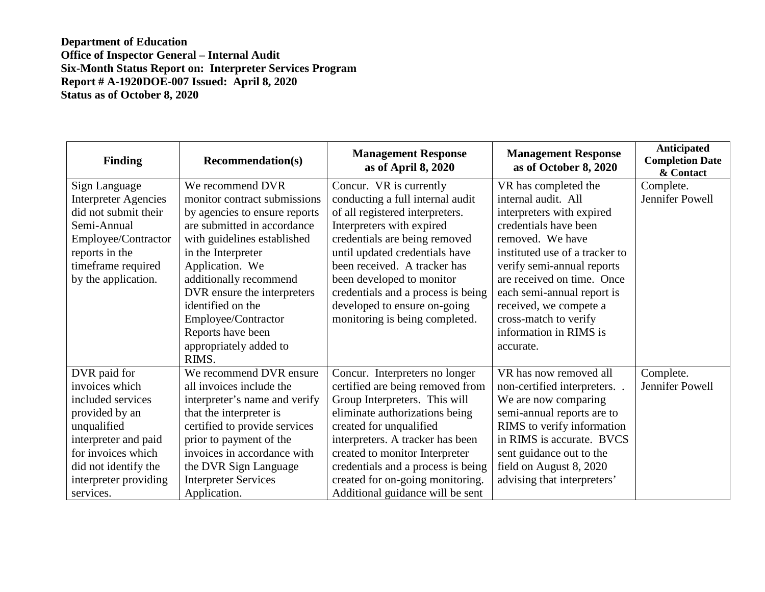## **Department of Education Office of Inspector General – Internal Audit Six-Month Status Report on: Interpreter Services Program Report # A-1920DOE-007 Issued: April 8, 2020 Status as of October 8, 2020**

| <b>Finding</b>              | <b>Recommendation(s)</b>        | <b>Management Response</b><br>as of April 8, 2020 | <b>Management Response</b><br>as of October 8, 2020 | Anticipated<br><b>Completion Date</b><br>& Contact |
|-----------------------------|---------------------------------|---------------------------------------------------|-----------------------------------------------------|----------------------------------------------------|
| Sign Language               | We recommend DVR                | Concur. VR is currently                           | VR has completed the                                | Complete.                                          |
| <b>Interpreter Agencies</b> | monitor contract submissions    | conducting a full internal audit                  | internal audit. All                                 | Jennifer Powell                                    |
| did not submit their        | by agencies to ensure reports   | of all registered interpreters.                   | interpreters with expired                           |                                                    |
| Semi-Annual                 | are submitted in accordance     | Interpreters with expired                         | credentials have been                               |                                                    |
| Employee/Contractor         | with guidelines established     | credentials are being removed                     | removed. We have                                    |                                                    |
| reports in the              | in the Interpreter              | until updated credentials have                    | instituted use of a tracker to                      |                                                    |
| timeframe required          | Application. We                 | been received. A tracker has                      | verify semi-annual reports                          |                                                    |
| by the application.         | additionally recommend          | been developed to monitor                         | are received on time. Once                          |                                                    |
|                             | DVR ensure the interpreters     | credentials and a process is being                | each semi-annual report is                          |                                                    |
|                             | identified on the               | developed to ensure on-going                      | received, we compete a                              |                                                    |
|                             | Employee/Contractor             | monitoring is being completed.                    | cross-match to verify                               |                                                    |
|                             | Reports have been               |                                                   | information in RIMS is                              |                                                    |
|                             | appropriately added to<br>RIMS. |                                                   | accurate.                                           |                                                    |
| DVR paid for                | We recommend DVR ensure         | Concur. Interpreters no longer                    | VR has now removed all                              | Complete.                                          |
| invoices which              | all invoices include the        | certified are being removed from                  | non-certified interpreters                          | Jennifer Powell                                    |
| included services           | interpreter's name and verify   | Group Interpreters. This will                     | We are now comparing                                |                                                    |
| provided by an              | that the interpreter is         | eliminate authorizations being                    | semi-annual reports are to                          |                                                    |
| unqualified                 | certified to provide services   | created for unqualified                           | RIMS to verify information                          |                                                    |
| interpreter and paid        | prior to payment of the         | interpreters. A tracker has been                  | in RIMS is accurate. BVCS                           |                                                    |
| for invoices which          | invoices in accordance with     | created to monitor Interpreter                    | sent guidance out to the                            |                                                    |
| did not identify the        | the DVR Sign Language           | credentials and a process is being                | field on August 8, 2020                             |                                                    |
| interpreter providing       | <b>Interpreter Services</b>     | created for on-going monitoring.                  | advising that interpreters'                         |                                                    |
| services.                   | Application.                    | Additional guidance will be sent                  |                                                     |                                                    |